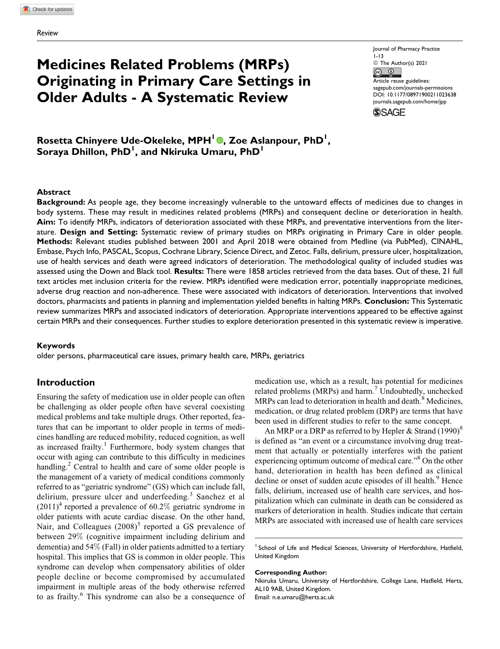# **Medicines Related Problems (MRPs) Originating in Primary Care Settings in Older Adults - A Systematic Review**

Journal of Pharmacy Practice 1-13 © The Author(s) 2021  $\bigcirc$  $\left|_{\text{G}}\right|$ Article reuse guidelines: [sagepub.com/journals-permissions](https://sagepub.com/journals-permissions) [DOI: 10.1177/08971900211023638](https://doi.org/10.1177/08971900211023638) [journals.sagepub.com/home/jpp](http://journals.sagepub.com/home/jpp)**SSAGE** 

 $\mathsf{Rosetta}$  Chinyere Ude-Okeleke, MPH<sup>I</sup> ©, Zoe Aslanpour, PhD<sup>I</sup>, **Soraya Dhillon, PhD<sup>1</sup> , and Nkiruka Umaru, PhD<sup>1</sup>**

#### **Abstract**

**Background:** As people age, they become increasingly vulnerable to the untoward effects of medicines due to changes in body systems. These may result in medicines related problems (MRPs) and consequent decline or deterioration in health. **Aim:** To identify MRPs, indicators of deterioration associated with these MRPs, and preventative interventions from the literature. **Design and Setting:** Systematic review of primary studies on MRPs originating in Primary Care in older people. **Methods:** Relevant studies published between 2001 and April 2018 were obtained from Medline (via PubMed), CINAHL, Embase, Psych Info, PASCAL, Scopus, Cochrane Library, Science Direct, and Zetoc. Falls, delirium, pressure ulcer, hospitalization, use of health services and death were agreed indicators of deterioration. The methodological quality of included studies was assessed using the Down and Black tool. **Results:** There were 1858 articles retrieved from the data bases. Out of these, 21 full text articles met inclusion criteria for the review. MRPs identified were medication error, potentially inappropriate medicines, adverse drug reaction and non-adherence. These were associated with indicators of deterioration. Interventions that involved doctors, pharmacists and patients in planning and implementation yielded benefits in halting MRPs. **Conclusion:** This Systematic review summarizes MRPs and associated indicators of deterioration. Appropriate interventions appeared to be effective against certain MRPs and their consequences. Further studies to explore deterioration presented in this systematic review is imperative.

#### **Keywords**

older persons, pharmaceutical care issues, primary health care, MRPs, geriatrics

## **Introduction**

Ensuring the safety of medication use in older people can often be challenging as older people often have several coexisting medical problems and take multiple drugs. Other reported, features that can be important to older people in terms of medicines handling are reduced mobility, reduced cognition, as well as increased frailty.<sup>1</sup> Furthermore, body system changes that occur with aging can contribute to this difficulty in medicines handling.<sup>2</sup> Central to health and care of some older people is the management of a variety of medical conditions commonly referred to as "geriatric syndrome" (GS) which can include fall, delirium, pressure ulcer and underfeeding.<sup>3</sup> Sanchez et al  $(2011)^4$  reported a prevalence of 60.2% geriatric syndrome in older patients with acute cardiac disease. On the other hand, Nair, and Colleagues  $(2008)^5$  reported a GS prevalence of between 29% (cognitive impairment including delirium and dementia) and 54% (Fall) in older patients admitted to a tertiary hospital. This implies that GS is common in older people. This syndrome can develop when compensatory abilities of older people decline or become compromised by accumulated impairment in multiple areas of the body otherwise referred to as frailty.<sup>6</sup> This syndrome can also be a consequence of medication use, which as a result, has potential for medicines related problems (MRPs) and harm.<sup>7</sup> Undoubtedly, unchecked MRPs can lead to deterioration in health and death.<sup>8</sup> Medicines, medication, or drug related problem (DRP) are terms that have been used in different studies to refer to the same concept.

An MRP or a DRP as referred to by Hepler & Strand  $(1990)^8$ is defined as "an event or a circumstance involving drug treatment that actually or potentially interferes with the patient experiencing optimum outcome of medical care."<sup>8</sup> On the other hand, deterioration in health has been defined as clinical decline or onset of sudden acute episodes of ill health.<sup>9</sup> Hence falls, delirium, increased use of health care services, and hospitalization which can culminate in death can be considered as markers of deterioration in health. Studies indicate that certain MRPs are associated with increased use of health care services

#### **Corresponding Author:**

Nkiruka Umaru, University of Hertfordshire, College Lane, Hatfield, Herts, AL10 9AB, United Kingdom. Email: [n.e.umaru@herts.ac.uk](mailto:n.e.umaru@herts.ac.uk)

<sup>&</sup>lt;sup>1</sup> School of Life and Medical Sciences, University of Hertfordshire, Hatfield, United Kingdom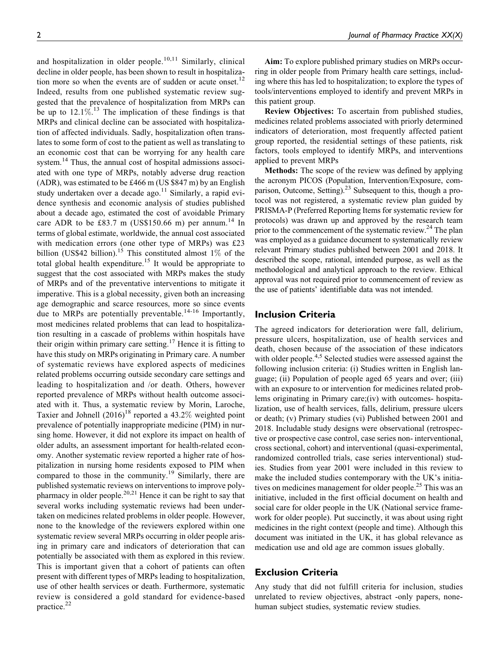and hospitalization in older people. $10,11$  Similarly, clinical decline in older people, has been shown to result in hospitalization more so when the events are of sudden or acute onset.<sup>12</sup> Indeed, results from one published systematic review suggested that the prevalence of hospitalization from MRPs can be up to  $12.1\%$ .<sup>13</sup> The implication of these findings is that MRPs and clinical decline can be associated with hospitalization of affected individuals. Sadly, hospitalization often translates to some form of cost to the patient as well as translating to an economic cost that can be worrying for any health care system.<sup>14</sup> Thus, the annual cost of hospital admissions associated with one type of MRPs, notably adverse drug reaction (ADR), was estimated to be £466 m (US \$847 m) by an English study undertaken over a decade ago. $11$  Similarly, a rapid evidence synthesis and economic analysis of studies published about a decade ago, estimated the cost of avoidable Primary care ADR to be £83.7 m (US\$150.66 m) per annum.<sup>14</sup> In terms of global estimate, worldwide, the annual cost associated with medication errors (one other type of MRPs) was £23 billion (US\$42 billion).<sup>15</sup> This constituted almost 1% of the total global health expenditure.<sup>15</sup> It would be appropriate to suggest that the cost associated with MRPs makes the study of MRPs and of the preventative interventions to mitigate it imperative. This is a global necessity, given both an increasing age demographic and scarce resources, more so since events due to MRPs are potentially preventable.<sup>14-16</sup> Importantly, most medicines related problems that can lead to hospitalization resulting in a cascade of problems within hospitals have their origin within primary care setting.<sup>17</sup> Hence it is fitting to have this study on MRPs originating in Primary care. A number of systematic reviews have explored aspects of medicines related problems occurring outside secondary care settings and leading to hospitalization and /or death. Others, however reported prevalence of MRPs without health outcome associated with it. Thus, a systematic review by Morin, Laroche, Taxier and Johnell  $(2016)^{18}$  reported a 43.2% weighted point prevalence of potentially inappropriate medicine (PIM) in nursing home. However, it did not explore its impact on health of older adults, an assessment important for health-related economy. Another systematic review reported a higher rate of hospitalization in nursing home residents exposed to PIM when compared to those in the community.<sup>19</sup> Similarly, there are published systematic reviews on interventions to improve polypharmacy in older people.<sup>20,21</sup> Hence it can be right to say that several works including systematic reviews had been undertaken on medicines related problems in older people. However, none to the knowledge of the reviewers explored within one systematic review several MRPs occurring in older people arising in primary care and indicators of deterioration that can potentially be associated with them as explored in this review. This is important given that a cohort of patients can often present with different types of MRPs leading to hospitalization, use of other health services or death. Furthermore, systematic review is considered a gold standard for evidence-based practice.<sup>22</sup>

Aim: To explore published primary studies on MRPs occurring in older people from Primary health care settings, including where this has led to hospitalization; to explore the types of tools/interventions employed to identify and prevent MRPs in this patient group.

Review Objectives: To ascertain from published studies, medicines related problems associated with priorly determined indicators of deterioration, most frequently affected patient group reported, the residential settings of these patients, risk factors, tools employed to identify MRPs, and interventions applied to prevent MRPs

Methods: The scope of the review was defined by applying the acronym PICOS (Population, Intervention/Exposure, comparison, Outcome, Setting).<sup>23</sup> Subsequent to this, though a protocol was not registered, a systematic review plan guided by PRISMA-P (Preferred Reporting Items for systematic review for protocols) was drawn up and approved by the research team prior to the commencement of the systematic review.<sup>24</sup> The plan was employed as a guidance document to systematically review relevant Primary studies published between 2001 and 2018. It described the scope, rational, intended purpose, as well as the methodological and analytical approach to the review. Ethical approval was not required prior to commencement of review as the use of patients' identifiable data was not intended.

# **Inclusion Criteria**

The agreed indicators for deterioration were fall, delirium, pressure ulcers, hospitalization, use of health services and death, chosen because of the association of these indicators with older people.<sup>4,5</sup> Selected studies were assessed against the following inclusion criteria: (i) Studies written in English language; (ii) Population of people aged 65 years and over; (iii) with an exposure to or intervention for medicines related problems originating in Primary care;(iv) with outcomes- hospitalization, use of health services, falls, delirium, pressure ulcers or death; (v) Primary studies (vi) Published between 2001 and 2018. Includable study designs were observational (retrospective or prospective case control, case series non- interventional, cross sectional, cohort) and interventional (quasi-experimental, randomized controlled trials, case series interventional) studies. Studies from year 2001 were included in this review to make the included studies contemporary with the UK's initiatives on medicines management for older people.<sup>25</sup> This was an initiative, included in the first official document on health and social care for older people in the UK (National service framework for older people). Put succinctly, it was about using right medicines in the right context (people and time). Although this document was initiated in the UK, it has global relevance as medication use and old age are common issues globally.

# **Exclusion Criteria**

Any study that did not fulfill criteria for inclusion, studies unrelated to review objectives, abstract -only papers, nonehuman subject studies, systematic review studies.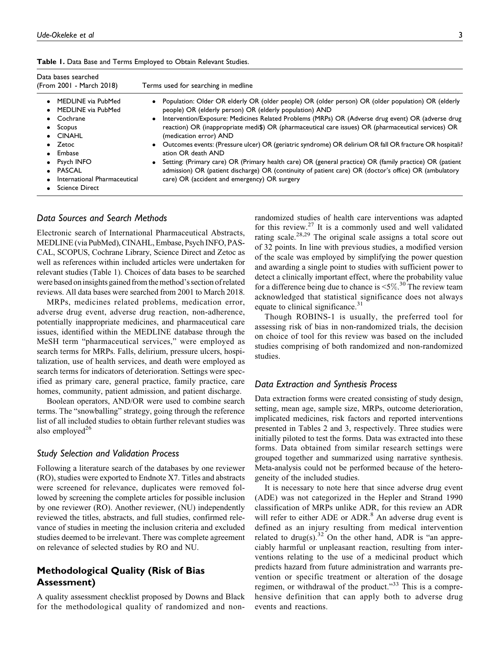| Data bases searched<br>(From 2001 - March 2018)                                                                                                                                                                                 | Terms used for searching in medline                                                                                                                                                                                                                                                                                                                                                                                                                                                                                                                                                                                                                                                                                                                                                                                                    |
|---------------------------------------------------------------------------------------------------------------------------------------------------------------------------------------------------------------------------------|----------------------------------------------------------------------------------------------------------------------------------------------------------------------------------------------------------------------------------------------------------------------------------------------------------------------------------------------------------------------------------------------------------------------------------------------------------------------------------------------------------------------------------------------------------------------------------------------------------------------------------------------------------------------------------------------------------------------------------------------------------------------------------------------------------------------------------------|
| MEDLINE via PubMed<br>• MEDLINE via PubMed<br>$\bullet$ Cochrane<br>$\bullet$ Scopus<br>$\bullet$ CINAHL<br>$\bullet$ Zetoc<br>• Embase<br>• Psych INFO<br>$\bullet$ PASCAL<br>International Pharmaceutical<br>• Science Direct | • Population: Older OR elderly OR (older people) OR (older person) OR (older population) OR (elderly<br>people) OR (elderly person) OR (elderly population) AND<br>Intervention/Exposure: Medicines Related Problems (MRPs) OR (Adverse drug event) OR (adverse drug<br>$\bullet$<br>reaction) OR (inappropriate medi\$) OR (pharmaceutical care issues) OR (pharmaceutical services) OR<br>(medication error) AND<br>Outcomes events: (Pressure ulcer) OR (geriatric syndrome) OR delirium OR fall OR fracture OR hospitali?<br>$\bullet$<br>ation OR death AND<br>• Setting: (Primary care) OR (Primary health care) OR (general practice) OR (family practice) OR (patient<br>admission) OR (patient discharge) OR (continuity of patient care) OR (doctor's office) OR (ambulatory<br>care) OR (accident and emergency) OR surgery |

**Table 1.** Data Base and Terms Employed to Obtain Relevant Studies.

# *Data Sources and Search Methods*

Electronic search of International Pharmaceutical Abstracts, MEDLINE (via PubMed), CINAHL, Embase, Psych INFO, PAS-CAL, SCOPUS, Cochrane Library, Science Direct and Zetoc as well as references within included articles were undertaken for relevant studies (Table 1). Choices of data bases to be searched were based on insights gained from the method's section of related reviews. All data bases were searched from 2001 to March 2018.

MRPs, medicines related problems, medication error, adverse drug event, adverse drug reaction, non-adherence, potentially inappropriate medicines, and pharmaceutical care issues, identified within the MEDLINE database through the MeSH term "pharmaceutical services," were employed as search terms for MRPs. Falls, delirium, pressure ulcers, hospitalization, use of health services, and death were employed as search terms for indicators of deterioration. Settings were specified as primary care, general practice, family practice, care homes, community, patient admission, and patient discharge.

Boolean operators, AND/OR were used to combine search terms. The "snowballing" strategy, going through the reference list of all included studies to obtain further relevant studies was also employed<sup>26</sup>

## *Study Selection and Validation Process*

Following a literature search of the databases by one reviewer (RO), studies were exported to Endnote X7. Titles and abstracts were screened for relevance, duplicates were removed followed by screening the complete articles for possible inclusion by one reviewer (RO). Another reviewer, (NU) independently reviewed the titles, abstracts, and full studies, confirmed relevance of studies in meeting the inclusion criteria and excluded studies deemed to be irrelevant. There was complete agreement on relevance of selected studies by RO and NU.

# **Methodological Quality (Risk of Bias Assessment)**

A quality assessment checklist proposed by Downs and Black for the methodological quality of randomized and non-

randomized studies of health care interventions was adapted for this review.<sup>27</sup> It is a commonly used and well validated rating scale.<sup>28,29</sup> The original scale assigns a total score out of 32 points. In line with previous studies, a modified version of the scale was employed by simplifying the power question and awarding a single point to studies with sufficient power to detect a clinically important effect, where the probability value for a difference being due to chance is  $\leq 5\%$ .<sup>30</sup> The review team acknowledged that statistical significance does not always equate to clinical significance.<sup>31</sup>

Though ROBINS-1 is usually, the preferred tool for assessing risk of bias in non-randomized trials, the decision on choice of tool for this review was based on the included studies comprising of both randomized and non-randomized studies.

#### *Data Extraction and Synthesis Process*

Data extraction forms were created consisting of study design, setting, mean age, sample size, MRPs, outcome deterioration, implicated medicines, risk factors and reported interventions presented in Tables 2 and 3, respectively. Three studies were initially piloted to test the forms. Data was extracted into these forms. Data obtained from similar research settings were grouped together and summarized using narrative synthesis. Meta-analysis could not be performed because of the heterogeneity of the included studies.

It is necessary to note here that since adverse drug event (ADE) was not categorized in the Hepler and Strand 1990 classification of MRPs unlike ADR, for this review an ADR will refer to either ADE or ADR. $8$  An adverse drug event is defined as an injury resulting from medical intervention related to drug(s).<sup>32</sup> On the other hand, ADR is "an appreciably harmful or unpleasant reaction, resulting from interventions relating to the use of a medicinal product which predicts hazard from future administration and warrants prevention or specific treatment or alteration of the dosage regimen, or withdrawal of the product."<sup>33</sup> This is a comprehensive definition that can apply both to adverse drug events and reactions.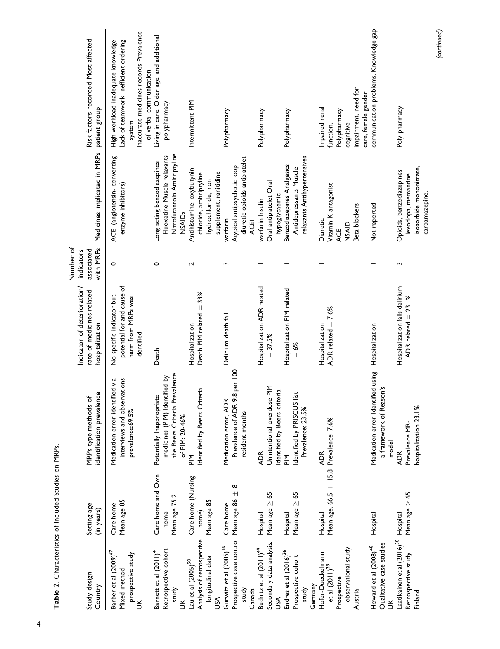| Study design<br>Country                                                                                                                              | Setting age<br>(in years)                                           | identification prevalence<br>MRPs type methods of                                                                                                        | Indicator of deterioration/<br>rate of medicines related<br>hospitalization                 | with MRPs<br>Number of<br>indicators<br>associated | Medicines implicated in MRPs                                                                                                                       | Risk factors recorded Most affected<br>patient group                                                                                                        |
|------------------------------------------------------------------------------------------------------------------------------------------------------|---------------------------------------------------------------------|----------------------------------------------------------------------------------------------------------------------------------------------------------|---------------------------------------------------------------------------------------------|----------------------------------------------------|----------------------------------------------------------------------------------------------------------------------------------------------------|-------------------------------------------------------------------------------------------------------------------------------------------------------------|
| Barber et al (2009) <sup>47</sup><br>prospective study<br>Mixed method<br>$\leq$                                                                     | Mean age 85<br>Care home                                            | interviews and observations<br>Medication error identified via<br>prevalence:69.5%                                                                       | potential for and cause of<br>No specific indicator but<br>harm from MRPs was<br>identified | $\circ$                                            | ACEI (angiotensin-converting<br>enzyme inhibitors)                                                                                                 | Inaccurate medicines records Prevalence<br>Lack of teamwork Inefficient ordering<br>High workload inadequate knowledge<br>of verbal communication<br>system |
| Retrospective cohort<br>Barnett et al (2011) <sup>41</sup><br>study<br>š                                                                             | Care home and Own<br>Mean age 75.2<br>home                          | the Beers Criteria Prevalence<br>medicines (PIM) Identified by<br>Potentially Inappropriate<br>of PIM: 20-46%                                            | Death                                                                                       | 0                                                  | Nitrofurantoin Amitriptyline<br>Fluoxetine Muscle relaxants<br>Long acting benzodiazepines<br>NSAIDs                                               | Living in care, Older age, and additional<br>polypharmacy                                                                                                   |
| Analysis of retrospective<br>longitudinal data<br>Lau et al (2005) <sup>50</sup><br>USA                                                              | Care home (Nursing<br>Mean age 85<br>home)                          | Identified by Beers Criteria<br>$\frac{\Sigma}{\Gamma}$                                                                                                  | Death PIM related = 33%<br>Hospitalization                                                  | 2                                                  | Antihistamine, oxybutynin<br>supplement, ranitidine<br>chloride, amitriptyline<br>hydrochloride, iron                                              | Intermittent PIM                                                                                                                                            |
| Prospective case control Mean age 86<br>Gurwitz et al (2005) <sup>16</sup><br>study<br>Canada                                                        | ∞<br>$+$<br>Care home                                               | 8 per 100<br>Medication error, ADR<br>Prevalence of ADR 9.<br>resident months                                                                            | Delirium death fall                                                                         | m                                                  | diuretic opioids antiplatelet<br>Atypical antipsychotic loop<br>warfarin<br>ACEI                                                                   | Polypharmacy                                                                                                                                                |
| Secondary data analysis.<br>Budnitz et al (2011) <sup>49</sup><br>Endres et al (2016) <sup>36</sup><br>Prospective cohort<br>Germany<br>study<br>USA | Mean age $\geq$ 65<br>55<br>Mean age $\geq$<br>Hospital<br>Hospital | 돋<br>dentified by Beers criteria<br>ist<br>Unintentional overdose<br>Identified by PRISCUS<br>Prevalence: 23.5%<br><b>ADR</b><br>$\frac{\Sigma}{\Omega}$ | Hospitalization ADR related<br>Hospitalization PIM related<br>$= 37.5%$<br>$=6%$            |                                                    | relaxants Antihypertensives<br>Benzodiazepines Analgesics<br>Antidepressants Muscle<br>Oral antiplatelet Oral<br>hypoglycaemic<br>warfarin Insulin | Polypharmacy<br>Polypharmacy                                                                                                                                |
| observational study<br>Hofer-Dueckelmann<br>et al $(2011)^{35}$<br>Prospective<br>Austria                                                            | Mean age, $66.5 \pm 15.8$ Prevalence: $7.6\%$<br>Hospital           | <b>ADR</b>                                                                                                                                               | ADR related $= 7.6%$<br>Hospitalization                                                     |                                                    | Vitamin K antagonist<br>Beta blockers<br>Diuretic<br>NSAID<br><b>ACEI</b>                                                                          | impairment, need for<br>care, female gender<br>Impaired renal<br>Polypharmacy<br>cognitive<br>function,                                                     |
| Qualitative case studies<br>Howard et al (2008) <sup>48</sup>                                                                                        | Hospital                                                            | Medication error Identified using<br>ion's<br>a framework of Reas<br>model                                                                               | Hospitalization                                                                             |                                                    | Not reported                                                                                                                                       | communication problems, Knowledge gap                                                                                                                       |
| Laatikainen et al (2016) <sup>38</sup> Hospital<br>Retrospective study<br>Finland                                                                    | Mean age $\geq 65$                                                  | hospitalization 23.1%<br>Prevalence MR-<br><b>ADR</b>                                                                                                    | Hospitalization falls delirium<br>ADR related $= 23.1\%$                                    | S                                                  | isosorbide mononitrate,<br>Opioids, benzodiazepines<br>levodopa, memantine<br>carbamazepine,                                                       | Poly pharmacy                                                                                                                                               |

*(continued)*

Table 2. Characteristics of Included Studies on MRPs. **Table 2.** Characteristics of Included Studies on MRPs.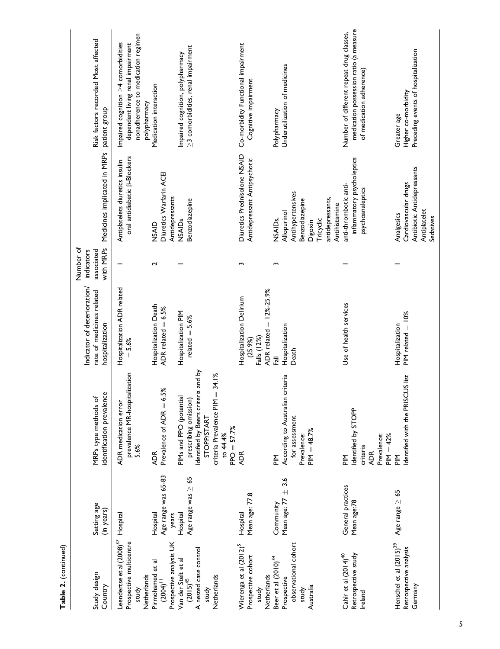Table 2. (continued) **Table 2.** (continued)

| Study design<br>Country                                                                  | Setting age<br>(in years)                | identification prevalence<br>MRPs type methods of                                                                                                                     | Indicator of deterioration/<br>rate of medicines related<br>hospitalization           | with MRPs<br>Number of<br>indicators<br>associated | Medicines implicated in MRPs                                                                     | Risk factors recorded Most affected<br>patient group                                                                                 |
|------------------------------------------------------------------------------------------|------------------------------------------|-----------------------------------------------------------------------------------------------------------------------------------------------------------------------|---------------------------------------------------------------------------------------|----------------------------------------------------|--------------------------------------------------------------------------------------------------|--------------------------------------------------------------------------------------------------------------------------------------|
| Leendertse et al (2008) <sup>37</sup><br>Prospective multicentre<br>Netherlands<br>study | Hospital                                 | prevalence MR-hospitalization<br><b>ADR</b> medication error<br>5.6%                                                                                                  | Hospitalization ADR related<br>$= 5.6%$                                               |                                                    | oral antidiabetic $\beta$ -Blockers<br>Antiplatelets diuretics insulin                           | nonadherence to medication regimen<br>Impaired cognition $\geq$ 4 comorbidities<br>dependent living renal impairment<br>polypharmacy |
| Prospective analysis UK<br>Pirmohamed et al<br>$(2004)^{11}$                             | Age range was 65-83<br>years<br>Hospital | 6.5%<br>Prevalence of ADR =<br><b>ADR</b>                                                                                                                             | Hospitalization Death<br>ADR related $= 6.5\%$                                        | Z                                                  | Diuretics Warfarin ACE<br>Antidepressants<br>NSAID                                               | Medication interaction                                                                                                               |
| A nested case control<br>Van der Stelt et al<br>Netherlands<br>$(2015)^{45}$<br>study    | Age range was $\geq 65$<br>Hospital      | Identified by Beers criteria and by<br>34.1%<br>$\vert\vert$<br>PIMs and PPO (potential<br>prescribing omission<br>criteria Prevalence PIM<br>STOPP/START<br>to 44.4% | Hospitalization PIM<br>related $=$ 5.6%                                               |                                                    | <b>Benzodiazepine</b><br>NSAIDs                                                                  | $\geq$ 3 comorbidities, renal impairment<br>Impaired cognition, polypharmacy                                                         |
|                                                                                          |                                          | $PPO = 57.7%$                                                                                                                                                         |                                                                                       |                                                    |                                                                                                  |                                                                                                                                      |
| Wierenga et al (2012) <sup>5</sup><br>Prospective cohort<br>Netherlands<br>study         | Mean age: 77.8<br>Hospital               | <b>ADR</b>                                                                                                                                                            | $ADR$ related = $12\% - 25.9\%$<br>Hospitalization Delirium<br>Falls (12%)<br>(25.9%) | m                                                  | Diuretics Prednisolone NSAID<br>Antidepressant Antipsychotic                                     | Co-morbidity Functional impairment<br>Cognitive impairment                                                                           |
| Beer et al (2010) <sup>34</sup>                                                          | Community                                | $\frac{\Sigma}{\Omega}$                                                                                                                                               | 忌                                                                                     | c                                                  | NSAID <sub>s</sub>                                                                               | Polypharmacy                                                                                                                         |
| Prospective                                                                              | Mean age: $77 \pm 3.6$                   | According to Australian criteria                                                                                                                                      | Hospitalization                                                                       |                                                    | Allopurinol                                                                                      | Underutilization of medicines                                                                                                        |
| observational cohort<br>Australia<br>study                                               |                                          | for assessment<br>$PIM = 48.7%$<br>Prevalence:                                                                                                                        | Death                                                                                 |                                                    | Antihypertensives<br>antidepressants,<br>Benzodiazepine<br>Antihistamine<br>Tricyclic<br>Digoxin |                                                                                                                                      |
| Retrospective study<br>Cahir et al (2014) <sup>40</sup><br>Ireland                       | General practices<br>Mean age:78         | Identified by STOPP<br>$PIM = 42%$<br>Prevalence:<br>criteria<br><b>ADR</b><br>돝                                                                                      | Use of health services                                                                |                                                    | inflammatory psycholeptics<br>anti-thrombotic anti-<br>psychoanaleptics                          | medication possession ratio (a measure<br>Number of different repeat drug classes,<br>of medication adherence)                       |
| Henschel et al (2015) <sup>39</sup>                                                      | Age range $\geq 65$                      | $\frac{\Sigma}{\Omega}$                                                                                                                                               | Hospitalization                                                                       |                                                    | Analgesics                                                                                       | Greater age                                                                                                                          |
| Retrospective analysis<br>Germany                                                        |                                          | Identified with the PRISCUS list                                                                                                                                      | $P$ IM related = $10\%$                                                               |                                                    | Antibiotic Antidepressants<br>Cardiovascular drugs<br>Antiplatelet<br>Sedatives                  | Preceding events of hospitalization<br>Higher co-morbidity                                                                           |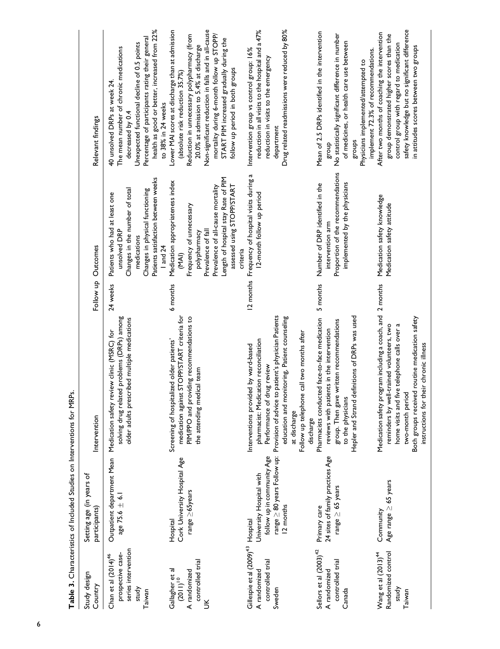| Study design<br>Country                                                                        | Setting age (in years of<br>participants)                                                                                      | Intervention                                                                                                                                                                                                                                                                  |          | Follow up Outcomes                                                                                                                                                                                                                | Relevant findings                                                                                                                                                                                                                                                                                                                                               |
|------------------------------------------------------------------------------------------------|--------------------------------------------------------------------------------------------------------------------------------|-------------------------------------------------------------------------------------------------------------------------------------------------------------------------------------------------------------------------------------------------------------------------------|----------|-----------------------------------------------------------------------------------------------------------------------------------------------------------------------------------------------------------------------------------|-----------------------------------------------------------------------------------------------------------------------------------------------------------------------------------------------------------------------------------------------------------------------------------------------------------------------------------------------------------------|
| series intervention<br>prospective case-<br>Chan et al (2014) <sup>46</sup><br>study<br>Taiwan | $age$ 75.6 $\pm$ 6.1                                                                                                           | solving drug related problems (DRPs) among<br>older adults prescribed multiple medications<br>Outpatient department Mean Medication safety review clinic (MSRC) for                                                                                                           | 24 weeks | Patients satisfaction between weeks<br>Changes in the number of total<br>Changes in physical functioning<br>Patients who had at least one<br>unsolved DRP<br>medications<br>1 and 24                                              | health as good or better, increased from 22%<br>Percentage of participants rating their general<br>Unexpected functional decline of 0.5 points<br>The mean number of chronic medications<br>40 unsolved DRPs at week 24<br>to 38% in 24 weeks<br>decreased by 0.4                                                                                               |
| controlled trial<br>Gallagher et al<br>A randomized<br>$(2011)^{10}$<br>$\leq$                 | Cork University Hospital Age<br>range $\geq$ 65years<br>Hospital                                                               | STOPP/START criteria for<br>PIM/PPO and providing recommendations to<br>Screening of hospitalized older patients'<br>the attending medical team<br>medication against                                                                                                         | 6 months | Length of hospital stay Rate of PIM<br>Medication appropriateness index<br>Prevalence of all-cause mortality<br>assessed using STOPP/START<br>Frequency of unnecessary<br>Prevalence of fall<br>polypharmacy<br>criteria<br>(MAI) | Non-significant reduction in falls and in all-cause<br>Lower MAI scores at discharge than at admission<br>mortality during 6-month follow up STOPP/<br>Reduction in unnecessary polypharmacy (from<br>START PIM increased gradually during the<br>20.0% at admission to 5.4% at discharge<br>follow up period in both groups<br>(absolute risk reduction 35.7%) |
| Gillespie et al (2009) <sup>43</sup> Hospital<br>controlled trial<br>A randomized<br>Sweden    | range $\geq$ 80 years Follow up: Provision of advice to<br>follow up in community Age<br>University Hospital with<br>12 months | patient's physician Patients<br>education and monitoring, Patient counseling<br>call two months after<br>pharmacist: Medication reconciliation<br>Interventions provided by ward-based<br>Performance of drug review<br>Follow up telephone<br>at discharge<br>discharge      |          | 12 months Frequency of hospital visits during a<br>12-month follow up period                                                                                                                                                      | reduction in all visits to the hospital and a 47%<br>Drug related readmissions were reduced by 80%<br>Intervention group vs control group: 16%<br>reduction in visits to the emergency<br>department                                                                                                                                                            |
| Sellors et al (2003) <sup>42</sup><br>controlled trial<br>A randomized<br>Canada               | 24 sites of family practices Age<br>range $\geq$ 65 years<br>Primary care                                                      | Hepler and Strand definitions of DRPs was used<br>Pharmacists conducted face-to-face medication<br>group. Then gave written recommendations<br>reviews with patients in the intervention<br>to the physicians                                                                 | 5 months | Proportion of the recommendations<br>implemented by the physicians<br>Number of DRP identified in the<br>intervention arm                                                                                                         | Mean of 2.5 DRPs identified in the intervention<br>No statistically significant difference in number<br>of medicines, or health care use between<br>implement 72.3% of recommendations.<br>Physicians implemented/attempted to<br>groups<br>dno.18                                                                                                              |
| Randomized control<br>Wang et al (2013) <sup>44</sup><br>study<br>Taiwan                       | Age range $\geq$ 65 years<br>Community                                                                                         | gram including a coach, and 2 months<br>Both groups received routine medication safety<br>reminders by well-trained volunteers, two<br>e telephone calls over a<br>instructions for their chronic illness<br>Medication safety pro<br>home visits and fiv<br>two-month period |          | Medication safety knowledge<br>Medication safety attitude                                                                                                                                                                         | safety knowledge but no significant difference<br>After two months of coaching the intervention<br>group demonstrated higher scores than the<br>control group with regard to medication<br>in attitudes scores between two groups                                                                                                                               |

Table 3. Characteristics of Included Studies on Interventions for MRPs. **Table 3.** Characteristics of Included Studies on Interventions for MRPs.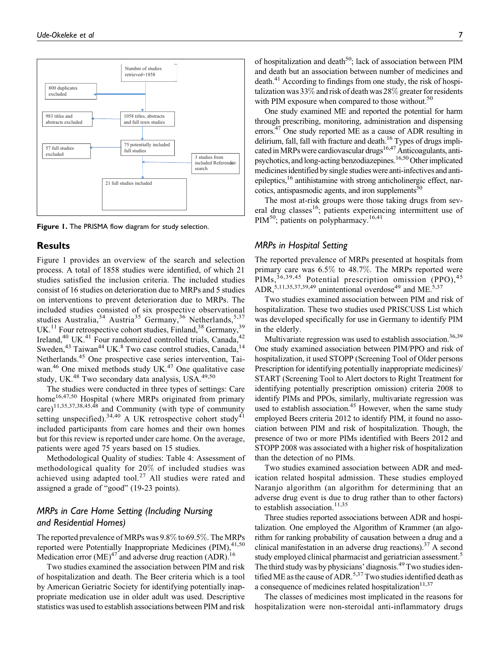

**Figure 1.** The PRISMA flow diagram for study selection.

## **Results**

Figure 1 provides an overview of the search and selection process. A total of 1858 studies were identified, of which 21 studies satisfied the inclusion criteria. The included studies consist of 16 studies on deterioration due to MRPs and 5 studies on interventions to prevent deterioration due to MRPs. The included studies consisted of six prospective observational studies Australia,<sup>34</sup> Austria<sup>35</sup> Germany,<sup>36</sup> Netherlands,<sup>5,37</sup> UK.<sup>11</sup> Four retrospective cohort studies, Finland,<sup>38</sup> Germany,<sup>39</sup> Ireland,<sup>40</sup> UK.<sup>41</sup> Four randomized controlled trials, Canada,<sup>42</sup> Sweden,<sup>43</sup> Taiwan<sup>44</sup> UK.<sup>8</sup> Two case control studies, Canada,<sup>14</sup> Netherlands.<sup>45</sup> One prospective case series intervention, Taiwan. $46$  One mixed methods study UK. $47$  One qualitative case study, UK.<sup>48</sup> Two secondary data analysis, USA.<sup>49,50</sup>

The studies were conducted in three types of settings: Care home<sup>16,47,50</sup> Hospital (where MRPs originated from primary care)<sup>11,35,37,38,45,48</sup> and Community (with type of community setting unspecified).<sup>34,40</sup> A UK retrospective cohort study<sup>41</sup> included participants from care homes and their own homes but for this review is reported under care home. On the average, patients were aged 75 years based on 15 studies.

Methodological Quality of studies: Table 4: Assessment of methodological quality for 20% of included studies was achieved using adapted tool. $27$  All studies were rated and assigned a grade of "good" (19-23 points).

# *MRPs in Care Home Setting (Including Nursing and Residential Homes)*

The reported prevalence of MRPs was 9.8% to 69.5%. The MRPs reported were Potentially Inappropriate Medicines (PIM), $41,50$ Medication error  $(ME)^{47}$  and adverse drug reaction (ADR).<sup>16</sup>

Two studies examined the association between PIM and risk of hospitalization and death. The Beer criteria which is a tool by American Geriatric Society for identifying potentially inappropriate medication use in older adult was used. Descriptive statistics was used to establish associations between PIM and risk of hospitalization and death<sup>50</sup>; lack of association between PIM and death but an association between number of medicines and  $\text{death}^{41}$  According to findings from one study, the risk of hospitalization was 33% and risk of death was 28% greater for residents with PIM exposure when compared to those without.<sup>50</sup>

One study examined ME and reported the potential for harm through prescribing, monitoring, administration and dispensing errors.<sup>47</sup> One study reported ME as a cause of ADR resulting in delirium, fall, fall with fracture and death.<sup>16</sup> Types of drugs implicated in MRPs were cardiovascular drugs<sup>16,47</sup> Anticoagulants, antipsychotics, and long-acting benzodiazepines.<sup>16,50</sup>Other implicated medicines identified by single studies were anti-infectives and antiepileptics, $^{16}$  antihistamine with strong anticholinergic effect, narcotics, antispasmodic agents, and iron supplements $50$ 

The most at-risk groups were those taking drugs from several drug classes<sup>16</sup>; patients experiencing intermittent use of PIM<sup>50</sup>; patients on polypharmacy.<sup>16,41</sup>

#### *MRPs in Hospital Setting*

The reported prevalence of MRPs presented at hospitals from primary care was 6.5% to 48.7%. The MRPs reported were  $\text{PIMS},$ <sup>36,39,45</sup> Potential prescription omission (PPO),<sup>45</sup> ADR,<sup>5,11,35,37,39,49</sup> unintentional overdose<sup>49</sup> and ME.<sup>5,37</sup>

Two studies examined association between PIM and risk of hospitalization. These two studies used PRISCUSS List which was developed specifically for use in Germany to identify PIM in the elderly.

Multivariate regression was used to establish association.<sup>36,39</sup> One study examined association between PIM/PPO and risk of hospitalization, it used STOPP (Screening Tool of Older persons Prescription for identifying potentially inappropriate medicines)/ START (Screening Tool to Alert doctors to Right Treatment for identifying potentially prescription omission) criteria 2008 to identify PIMs and PPOs, similarly, multivariate regression was used to establish association.<sup>45</sup> However, when the same study employed Beers criteria 2012 to identify PIM, it found no association between PIM and risk of hospitalization. Though, the presence of two or more PIMs identified with Beers 2012 and STOPP 2008 was associated with a higher risk of hospitalization than the detection of no PIMs.

Two studies examined association between ADR and medication related hospital admission. These studies employed Naranjo algorithm (an algorithm for determining that an adverse drug event is due to drug rather than to other factors) to establish association.<sup>11,35</sup>

Three studies reported associations between ADR and hospitalization. One employed the Algorithm of Krammer (an algorithm for ranking probability of causation between a drug and a clinical manifestation in an adverse drug reactions).<sup>37</sup> A second study employed clinical pharmacist and geriatrician assessment.<sup>5</sup> The third study was by physicians' diagnosis.<sup>49</sup> Two studies identified ME as the cause of ADR.<sup>5,37</sup>Two studies identified death as a consequence of medicines related hospitalization $11,37$ 

The classes of medicines most implicated in the reasons for hospitalization were non-steroidal anti-inflammatory drugs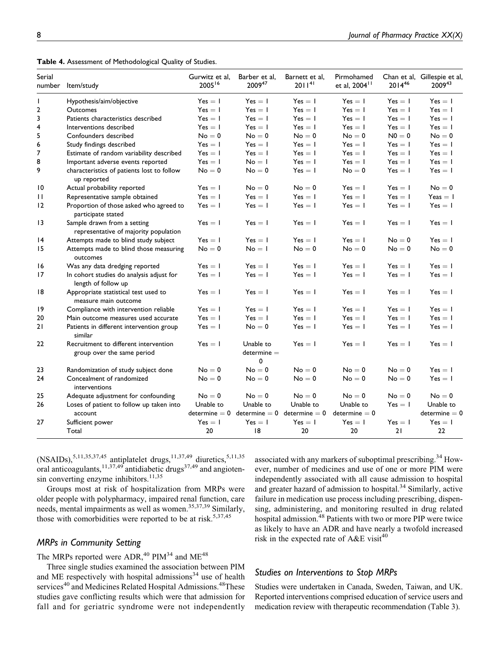|  |  |  | Table 4. Assessment of Methodological Quality of Studies. |  |  |  |
|--|--|--|-----------------------------------------------------------|--|--|--|
|--|--|--|-----------------------------------------------------------|--|--|--|

| Serial<br>number | Item/study                                                           | Gurwitz et al,<br>200516 | Barber et al,<br>2009 <sup>47</sup>                    | Barnett et al,<br>$2011^{41}$ | Pirmohamed<br>et al, 2004 <sup>11</sup> | $2014^{46}$ | Chan et al, Gillespie et al,<br>200943 |
|------------------|----------------------------------------------------------------------|--------------------------|--------------------------------------------------------|-------------------------------|-----------------------------------------|-------------|----------------------------------------|
| $\mathsf{L}$     | Hypothesis/aim/objective                                             | $Yes = 1$                | $Yes = 1$                                              | $Yes = 1$                     | $Yes = 1$                               | $Yes = 1$   | $Yes = 1$                              |
| 2                | Outcomes                                                             | $Yes = 1$                | $Yes = 1$                                              | $Yes = 1$                     | $Yes = 1$                               | $Yes = 1$   | $Yes = 1$                              |
| 3                | Patients characteristics described                                   | $Yes = 1$                | $Yes = 1$                                              | $Yes = 1$                     | $Yes = 1$                               | $Yes = 1$   | $Yes = 1$                              |
| 4                | Interventions described                                              | $Yes = 1$                | $Yes = 1$                                              | $Yes = 1$                     | $Yes = 1$                               | $Yes = 1$   | $Yes = 1$                              |
| 5                | Confounders described                                                | $No = 0$                 | $No = 0$                                               | $No = 0$                      | $No = 0$                                | $N0 = 0$    | $No = 0$                               |
| 6                | Study findings described                                             | $Yes = 1$                | $Yes = 1$                                              | $Yes = 1$                     | $Yes = 1$                               | $Yes = 1$   | $Yes = 1$                              |
| 7                | Estimate of random variability described                             | $Yes = 1$                | $Yes = 1$                                              | $Yes = 1$                     | $Yes = 1$                               | $Yes = 1$   | $Yes = 1$                              |
| 8                | Important adverse events reported                                    | $Yes = 1$                | $No = 1$                                               | $Yes = 1$                     | $Yes = 1$                               | $Yes = 1$   | $Yes = 1$                              |
| 9                | characteristics of patients lost to follow<br>up reported            | $No = 0$                 | $No = 0$                                               | $Yes = 1$                     | $No = 0$                                | $Yes = 1$   | $Yes = 1$                              |
| 10               | Actual probability reported                                          | $Yes = 1$                | $No = 0$                                               | $No = 0$                      | $Yes = 1$                               | $Yes = 1$   | $No = 0$                               |
| П                | Representative sample obtained                                       | $Yes = 1$                | $Yes = 1$                                              | $Yes = 1$                     | $Yes = 1$                               | $Yes = 1$   | Yeas $= 1$                             |
| 12               | Proportion of those asked who agreed to<br>participate stated        | $Yes = 1$                | $Yes = 1$                                              | $Yes = 1$                     | $Yes = 1$                               | $Yes = 1$   | $Yes = 1$                              |
| 3                | Sample drawn from a setting<br>representative of majority population | $Yes = 1$                | $Yes = 1$                                              | $Yes = 1$                     | $Yes = 1$                               | $Yes = 1$   | $Yes = 1$                              |
| 14               | Attempts made to blind study subject                                 | $Yes = 1$                | $Yes = I$                                              | $Yes = 1$                     | $Yes = 1$                               | $No = 0$    | $Yes = 1$                              |
| 15               | Attempts made to blind those measuring<br>outcomes                   | $No = 0$                 | $No = 1$                                               | $No = 0$                      | $No = 0$                                | $No = 0$    | $No = 0$                               |
| 16               | Was any data dredging reported                                       | $Yes = 1$                | $Yes = I$                                              | $Yes = 1$                     | $Yes = 1$                               | $Yes = 1$   | $Yes = 1$                              |
| 17               | In cohort studies do analysis adjust for<br>length of follow up      | $Yes = 1$                | $Yes = I$                                              | $Yes = 1$                     | $Yes = 1$                               | $Yes = 1$   | $Yes = 1$                              |
| 18               | Appropriate statistical test used to<br>measure main outcome         | $Yes = 1$                | $Yes = 1$                                              | $Yes = 1$                     | $Yes = 1$                               | $Yes = 1$   | $Yes = 1$                              |
| 19               | Compliance with intervention reliable                                | $Yes = 1$                | $Yes = 1$                                              | $Yes = 1$                     | $Yes = 1$                               | $Yes = 1$   | $Yes = 1$                              |
| 20               | Main outcome measures used accurate                                  | $Yes = 1$                | $Yes = 1$                                              | $Yes = 1$                     | $Yes = 1$                               | $Yes = 1$   | $Yes = 1$                              |
| 21               | Patients in different intervention group<br>similar                  | $Yes = 1$                | $No = 0$                                               | $Yes = 1$                     | $Yes = 1$                               | $Yes = 1$   | $Yes = 1$                              |
| 22               | Recruitment to different intervention<br>group over the same period  | $Yes = 1$                | Unable to<br>$determine =$<br>0                        | $Yes = 1$                     | $Yes = 1$                               | $Yes = 1$   | $Yes = 1$                              |
| 23               | Randomization of study subject done                                  | $No = 0$                 | $No = 0$                                               | $No = 0$                      | $No = 0$                                | $No = 0$    | $Yes = 1$                              |
| 24               | Concealment of randomized<br>interventions                           | $No = 0$                 | $No = 0$                                               | $No = 0$                      | $No = 0$                                | $No = 0$    | $Yes = 1$                              |
| 25               | Adequate adjustment for confounding                                  | $No = 0$                 | $No = 0$                                               | $No = 0$                      | $No = 0$                                | $No = 0$    | $No = 0$                               |
| 26               | Loses of patient to follow up taken into<br>account                  | Unable to                | Unable to<br>determine = 0 determine = 0 determine = 0 | Unable to                     | Unable to<br>$determine = 0$            | $Yes = 1$   | Unable to<br>$determine = 0$           |
| 27               | Sufficient power                                                     | $Yes = 1$                | $Yes = 1$                                              | $Yes = 1$                     | $Yes = 1$                               | $Yes = 1$   | $Yes = 1$                              |
|                  | Total                                                                | 20                       | 8                                                      | 20                            | 20                                      | 21          | 22                                     |

 $(NSAIDs)$ ,<sup>5,11,35,37,45</sup> antiplatelet drugs,<sup>11,37,49</sup> diuretics,<sup>5,11,35</sup> oral anticoagulants,  $11,37,49$  antidiabetic drugs<sup>37,49</sup> and angiotensin converting enzyme inhibitors. $11,35$ 

Groups most at risk of hospitalization from MRPs were older people with polypharmacy, impaired renal function, care needs, mental impairments as well as women.<sup>35,37,39</sup> Similarly, those with comorbidities were reported to be at risk.<sup>5,37,45</sup>

## *MRPs in Community Setting*

The MRPs reported were ADR,<sup>40</sup> PIM<sup>34</sup> and ME<sup>48</sup>

Three single studies examined the association between PIM and ME respectively with hospital admissions $34$  use of health services<sup>40</sup> and Medicines Related Hospital Admissions.<sup>48</sup>These studies gave conflicting results which were that admission for fall and for geriatric syndrome were not independently

associated with any markers of suboptimal prescribing.<sup>34</sup> However, number of medicines and use of one or more PIM were independently associated with all cause admission to hospital and greater hazard of admission to hospital.34 Similarly, active failure in medication use process including prescribing, dispensing, administering, and monitoring resulted in drug related hospital admission.<sup>48</sup> Patients with two or more PIP were twice as likely to have an ADR and have nearly a twofold increased risk in the expected rate of A&E visit<sup>40</sup>

## *Studies on Interventions to Stop MRPs*

Studies were undertaken in Canada, Sweden, Taiwan, and UK. Reported interventions comprised education of service users and medication review with therapeutic recommendation (Table 3).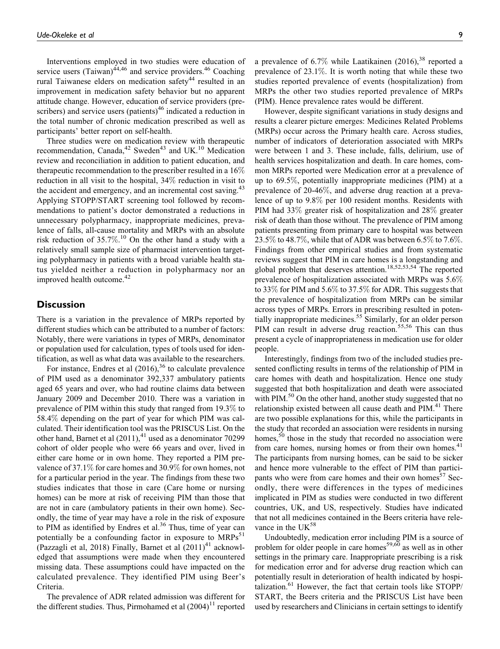Interventions employed in two studies were education of service users (Taiwan) $44,46$  and service providers.  $46$  Coaching rural Taiwanese elders on medication safety<sup>44</sup> resulted in an improvement in medication safety behavior but no apparent attitude change. However, education of service providers (prescribers) and service users (patients) $46$  indicated a reduction in the total number of chronic medication prescribed as well as participants' better report on self-health.

Three studies were on medication review with therapeutic recommendation, Canada, $42$  Sweden $43$  and UK.<sup>10</sup> Medication review and reconciliation in addition to patient education, and therapeutic recommendation to the prescriber resulted in a 16% reduction in all visit to the hospital, 34% reduction in visit to the accident and emergency, and an incremental cost saving.<sup>43</sup> Applying STOPP/START screening tool followed by recommendations to patient's doctor demonstrated a reductions in unnecessary polypharmacy, inappropriate medicines, prevalence of falls, all-cause mortality and MRPs with an absolute risk reduction of 35.7%. <sup>10</sup> On the other hand a study with a relatively small sample size of pharmacist intervention targeting polypharmacy in patients with a broad variable health status yielded neither a reduction in polypharmacy nor an improved health outcome.<sup>42</sup>

## **Discussion**

There is a variation in the prevalence of MRPs reported by different studies which can be attributed to a number of factors: Notably, there were variations in types of MRPs, denominator or population used for calculation, types of tools used for identification, as well as what data was available to the researchers.

For instance, Endres et al  $(2016)$ , <sup>36</sup> to calculate prevalence of PIM used as a denominator 392,337 ambulatory patients aged 65 years and over, who had routine claims data between January 2009 and December 2010. There was a variation in prevalence of PIM within this study that ranged from 19.3% to 58.4% depending on the part of year for which PIM was calculated. Their identification tool was the PRISCUS List. On the other hand, Barnet et al  $(2011)$ ,<sup>41</sup> used as a denominator 70299 cohort of older people who were 66 years and over, lived in either care home or in own home. They reported a PIM prevalence of 37.1% for care homes and 30.9% for own homes, not for a particular period in the year. The findings from these two studies indicates that those in care (Care home or nursing homes) can be more at risk of receiving PIM than those that are not in care (ambulatory patients in their own home). Secondly, the time of year may have a role in the risk of exposure to PIM as identified by Endres et al.<sup>36</sup> Thus, time of year can potentially be a confounding factor in exposure to  $MRPs<sup>51</sup>$ (Pazzagli et al, 2018) Finally, Barnet et al  $(2011)^{41}$  acknowledged that assumptions were made when they encountered missing data. These assumptions could have impacted on the calculated prevalence. They identified PIM using Beer's Criteria.

The prevalence of ADR related admission was different for the different studies. Thus, Pirmohamed et al  $(2004)^{11}$  reported

a prevalence of 6.7% while Laatikainen  $(2016)$ ,<sup>38</sup> reported a prevalence of 23.1%. It is worth noting that while these two studies reported prevalence of events (hospitalization) from MRPs the other two studies reported prevalence of MRPs (PIM). Hence prevalence rates would be different.

However, despite significant variations in study designs and results a clearer picture emerges: Medicines Related Problems (MRPs) occur across the Primary health care. Across studies, number of indicators of deterioration associated with MRPs were between 1 and 3. These include, falls, delirium, use of health services hospitalization and death. In care homes, common MRPs reported were Medication error at a prevalence of up to 69.5%, potentially inappropriate medicines (PIM) at a prevalence of 20-46%, and adverse drug reaction at a prevalence of up to 9.8% per 100 resident months. Residents with PIM had 33% greater risk of hospitalization and 28% greater risk of death than those without. The prevalence of PIM among patients presenting from primary care to hospital was between 23.5% to 48.7%, while that of ADR was between 6.5% to 7.6%. Findings from other empirical studies and from systematic reviews suggest that PIM in care homes is a longstanding and global problem that deserves attention.<sup>18,52,53,54</sup> The reported prevalence of hospitalization associated with MRPs was 5.6% to 33% for PIM and 5.6% to 37.5% for ADR. This suggests that the prevalence of hospitalization from MRPs can be similar across types of MRPs. Errors in prescribing resulted in potentially inappropriate medicines.<sup>55</sup> Similarly, for an older person PIM can result in adverse drug reaction.<sup>55,56</sup> This can thus present a cycle of inappropriateness in medication use for older people.

Interestingly, findings from two of the included studies presented conflicting results in terms of the relationship of PIM in care homes with death and hospitalization. Hence one study suggested that both hospitalization and death were associated with PIM. $50$  On the other hand, another study suggested that no relationship existed between all cause death and  $PIM<sup>41</sup>$ . There are two possible explanations for this, while the participants in the study that recorded an association were residents in nursing homes,  $50$  those in the study that recorded no association were from care homes, nursing homes or from their own homes.<sup>41</sup> The participants from nursing homes, can be said to be sicker and hence more vulnerable to the effect of PIM than participants who were from care homes and their own homes<sup>57</sup> Secondly, there were differences in the types of medicines implicated in PIM as studies were conducted in two different countries, UK, and US, respectively. Studies have indicated that not all medicines contained in the Beers criteria have relevance in the  $UK^{58}$ 

Undoubtedly, medication error including PIM is a source of problem for older people in care homes<sup>59,60</sup> as well as in other settings in the primary care. Inappropriate prescribing is a risk for medication error and for adverse drug reaction which can potentially result in deterioration of health indicated by hospitalization. $61$  However, the fact that certain tools like STOPP/ START, the Beers criteria and the PRISCUS List have been used by researchers and Clinicians in certain settings to identify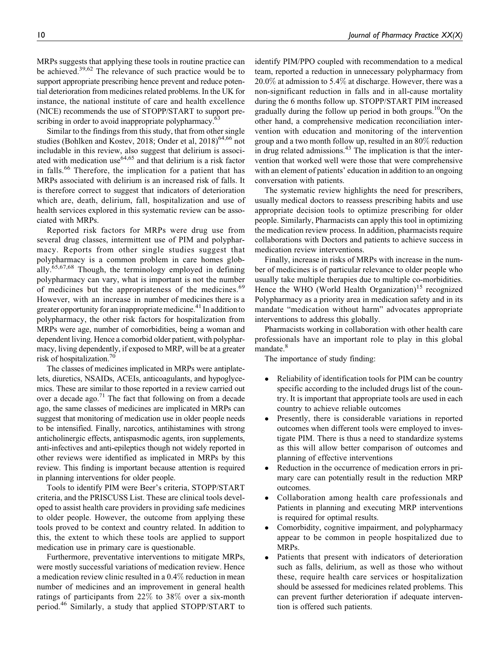MRPs suggests that applying these tools in routine practice can be achieved.<sup>39,62</sup> The relevance of such practice would be to support appropriate prescribing hence prevent and reduce potential deterioration from medicines related problems. In the UK for instance, the national institute of care and health excellence (NICE) recommends the use of STOPP/START to support prescribing in order to avoid inappropriate polypharmacy.<sup>63</sup>

Similar to the findings from this study, that from other single studies (Bohlken and Kostev, 2018; Onder et al,  $2018$ )<sup>64,66</sup> not includable in this review, also suggest that delirium is associated with medication use<sup>64,65</sup> and that delirium is a risk factor in falls.<sup>66</sup> Therefore, the implication for a patient that has MRPs associated with delirium is an increased risk of falls. It is therefore correct to suggest that indicators of deterioration which are, death, delirium, fall, hospitalization and use of health services explored in this systematic review can be associated with MRPs.

Reported risk factors for MRPs were drug use from several drug classes, intermittent use of PIM and polypharmacy. Reports from other single studies suggest that polypharmacy is a common problem in care homes globally.<sup>65,67,68</sup> Though, the terminology employed in defining polypharmacy can vary, what is important is not the number of medicines but the appropriateness of the medicines.<sup>69</sup> However, with an increase in number of medicines there is a greater opportunity for an inappropriate medicine.<sup>41</sup> In addition to polypharmacy, the other risk factors for hospitalization from MRPs were age, number of comorbidities, being a woman and dependent living. Hence a comorbid older patient, with polypharmacy, living dependently, if exposed to MRP, will be at a greater risk of hospitalization.70

The classes of medicines implicated in MRPs were antiplatelets, diuretics, NSAIDs, ACEIs, anticoagulants, and hypoglycemics. These are similar to those reported in a review carried out over a decade ago.<sup>71</sup> The fact that following on from a decade ago, the same classes of medicines are implicated in MRPs can suggest that monitoring of medication use in older people needs to be intensified. Finally, narcotics, antihistamines with strong anticholinergic effects, antispasmodic agents, iron supplements, anti-infectives and anti-epileptics though not widely reported in other reviews were identified as implicated in MRPs by this review. This finding is important because attention is required in planning interventions for older people.

Tools to identify PIM were Beer's criteria, STOPP/START criteria, and the PRISCUSS List. These are clinical tools developed to assist health care providers in providing safe medicines to older people. However, the outcome from applying these tools proved to be context and country related. In addition to this, the extent to which these tools are applied to support medication use in primary care is questionable.

Furthermore, preventative interventions to mitigate MRPs, were mostly successful variations of medication review. Hence a medication review clinic resulted in a 0.4% reduction in mean number of medicines and an improvement in general health ratings of participants from 22% to 38% over a six-month period.<sup>46</sup> Similarly, a study that applied STOPP/START to identify PIM/PPO coupled with recommendation to a medical team, reported a reduction in unnecessary polypharmacy from 20.0% at admission to 5.4% at discharge. However, there was a non-significant reduction in falls and in all-cause mortality during the 6 months follow up. STOPP/START PIM increased gradually during the follow up period in both groups.<sup>10</sup>On the other hand, a comprehensive medication reconciliation intervention with education and monitoring of the intervention group and a two month follow up, resulted in an 80% reduction in drug related admissions.<sup>43</sup> The implication is that the intervention that worked well were those that were comprehensive with an element of patients' education in addition to an ongoing conversation with patients.

The systematic review highlights the need for prescribers, usually medical doctors to reassess prescribing habits and use appropriate decision tools to optimize prescribing for older people. Similarly, Pharmacists can apply this tool in optimizing the medication review process. In addition, pharmacists require collaborations with Doctors and patients to achieve success in medication review interventions.

Finally, increase in risks of MRPs with increase in the number of medicines is of particular relevance to older people who usually take multiple therapies due to multiple co-morbidities. Hence the WHO (World Health Organization)<sup>15</sup> recognized Polypharmacy as a priority area in medication safety and in its mandate "medication without harm" advocates appropriate interventions to address this globally.

Pharmacists working in collaboration with other health care professionals have an important role to play in this global mandate.<sup>8</sup>

The importance of study finding:

- $\bullet$  Reliability of identification tools for PIM can be country specific according to the included drugs list of the country. It is important that appropriate tools are used in each country to achieve reliable outcomes
- $\bullet$  Presently, there is considerable variations in reported outcomes when different tools were employed to investigate PIM. There is thus a need to standardize systems as this will allow better comparison of outcomes and planning of effective interventions
- $\bullet$  Reduction in the occurrence of medication errors in primary care can potentially result in the reduction MRP outcomes.
- $\bullet$  Collaboration among health care professionals and Patients in planning and executing MRP interventions is required for optimal results.
- $\bullet$  Comorbidity, cognitive impairment, and polypharmacy appear to be common in people hospitalized due to MRPs.
- $\bullet$  Patients that present with indicators of deterioration such as falls, delirium, as well as those who without these, require health care services or hospitalization should be assessed for medicines related problems. This can prevent further deterioration if adequate intervention is offered such patients.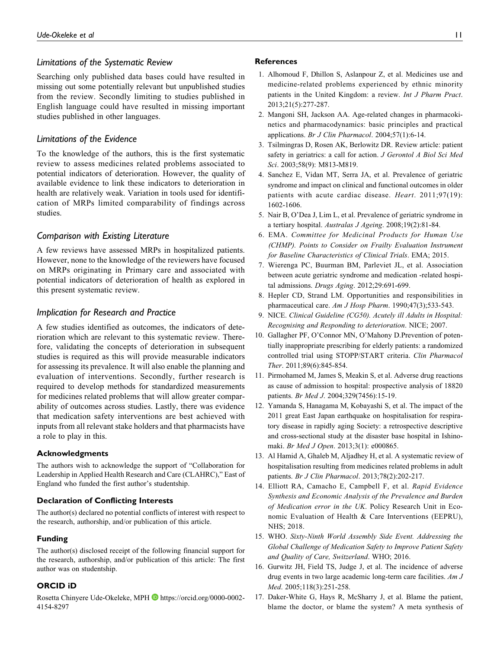# *Limitations of the Systematic Review*

Searching only published data bases could have resulted in missing out some potentially relevant but unpublished studies from the review. Secondly limiting to studies published in English language could have resulted in missing important studies published in other languages.

# *Limitations of the Evidence*

To the knowledge of the authors, this is the first systematic review to assess medicines related problems associated to potential indicators of deterioration. However, the quality of available evidence to link these indicators to deterioration in health are relatively weak. Variation in tools used for identification of MRPs limited comparability of findings across studies.

#### *Comparison with Existing Literature*

A few reviews have assessed MRPs in hospitalized patients. However, none to the knowledge of the reviewers have focused on MRPs originating in Primary care and associated with potential indicators of deterioration of health as explored in this present systematic review.

# *Implication for Research and Practice*

A few studies identified as outcomes, the indicators of deterioration which are relevant to this systematic review. Therefore, validating the concepts of deterioration in subsequent studies is required as this will provide measurable indicators for assessing its prevalence. It will also enable the planning and evaluation of interventions. Secondly, further research is required to develop methods for standardized measurements for medicines related problems that will allow greater comparability of outcomes across studies. Lastly, there was evidence that medication safety interventions are best achieved with inputs from all relevant stake holders and that pharmacists have a role to play in this.

#### **Acknowledgments**

The authors wish to acknowledge the support of "Collaboration for Leadership in Applied Health Research and Care (CLAHRC)," East of England who funded the first author's studentship.

#### **Declaration of Conflicting Interests**

The author(s) declared no potential conflicts of interest with respect to the research, authorship, and/or publication of this article.

#### **Funding**

The author(s) disclosed receipt of the following financial support for the research, authorship, and/or publication of this article: The first author was on studentship.

## **ORCID iD**

Rosetta Chinyere Ude-Okeleke, MPH **b** [https://orcid.org/0000-0002-](https://orcid.org/0000-0002-4154-8297) [4154-8297](https://orcid.org/0000-0002-4154-8297)

#### **References**

- 1. Alhomoud F, Dhillon S, Aslanpour Z, et al. Medicines use and medicine-related problems experienced by ethnic minority patients in the United Kingdom: a review. Int J Pharm Pract. 2013;21(5):277-287.
- 2. Mangoni SH, Jackson AA. Age-related changes in pharmacokinetics and pharmacodynamics: basic principles and practical applications. Br J Clin Pharmacol. 2004;57(1):6-14.
- 3. Tsilmingras D, Rosen AK, Berlowitz DR. Review article: patient safety in geriatrics: a call for action. J Gerontol A Biol Sci Med Sci. 2003;58(9): M813-M819.
- 4. Sanchez E, Vidan MT, Serra JA, et al. Prevalence of geriatric syndrome and impact on clinical and functional outcomes in older patients with acute cardiac disease. Heart. 2011;97(19): 1602-1606.
- 5. Nair B, O'Dea J, Lim L, et al. Prevalence of geriatric syndrome in a tertiary hospital. Australas J Ageing. 2008;19(2):81-84.
- 6. EMA. Committee for Medicinal Products for Human Use (CHMP). Points to Consider on Frailty Evaluation Instrument for Baseline Characteristics of Clinical Trials. EMA; 2015.
- 7. Wierenga PC, Buurman BM, Parleviet JL, et al. Association between acute geriatric syndrome and medication -related hospital admissions. Drugs Aging. 2012;29:691-699.
- 8. Hepler CD, Strand LM. Opportunities and responsibilities in pharmaceutical care. Am J Hosp Pharm. 1990;47(3);533-543.
- 9. NICE. Clinical Guideline (CG50). Acutely ill Adults in Hospital: Recognising and Responding to deterioration. NICE; 2007.
- 10. Gallagher PF, O'Connor MN, O'Mahony D.Prevention of potentially inappropriate prescribing for elderly patients: a randomized controlled trial using STOPP/START criteria. Clin Pharmacol Ther. 2011;89(6):845-854.
- 11. Pirmohamed M, James S, Meakin S, et al. Adverse drug reactions as cause of admission to hospital: prospective analysis of 18820 patients. Br Med J. 2004;329(7456):15-19.
- 12. Yamanda S, Hanagama M, Kobayashi S, et al. The impact of the 2011 great East Japan earthquake on hospitalisation for respiratory disease in rapidly aging Society: a retrospective descriptive and cross-sectional study at the disaster base hospital in Ishinomaki. Br Med J Open. 2013;3(1): e000865.
- 13. Al Hamid A, Ghaleb M, Aljadhey H, et al. A systematic review of hospitalisation resulting from medicines related problems in adult patients. Br J Clin Pharmacol. 2013;78(2):202-217.
- 14. Elliott RA, Camacho E, Campbell F, et al. Rapid Evidence Synthesis and Economic Analysis of the Prevalence and Burden of Medication error in the UK. Policy Research Unit in Economic Evaluation of Health & Care Interventions (EEPRU), NHS; 2018.
- 15. WHO. Sixty-Ninth World Assembly Side Event. Addressing the Global Challenge of Medication Safety to Improve Patient Safety and Quality of Care, Switzerland. WHO; 2016.
- 16. Gurwitz JH, Field TS, Judge J, et al. The incidence of adverse drug events in two large academic long-term care facilities. Am J Med. 2005;118(3):251-258.
- 17. Daker-White G, Hays R, McSharry J, et al. Blame the patient, blame the doctor, or blame the system? A meta synthesis of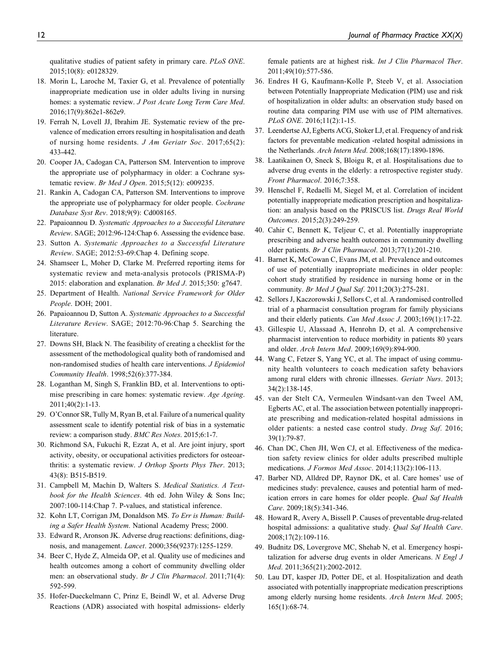qualitative studies of patient safety in primary care. PLoS ONE. 2015;10(8): e0128329.

- 18. Morin L, Laroche M, Taxier G, et al. Prevalence of potentially inappropriate medication use in older adults living in nursing homes: a systematic review. *J Post Acute Long Term Care Med.* 2016;17(9):862e1-862e9.
- 19. Ferrah N, Lovell JJ, Ibrahim JE. Systematic review of the prevalence of medication errors resulting in hospitalisation and death of nursing home residents. J Am Geriatr Soc. 2017;65(2): 433-442.
- 20. Cooper JA, Cadogan CA, Patterson SM. Intervention to improve the appropriate use of polypharmacy in older: a Cochrane systematic review. Br Med J Open. 2015;5(12): e009235.
- 21. Rankin A, Cadogan CA, Patterson SM. Interventions to improve the appropriate use of polypharmacy for older people. Cochrane Database Syst Rev. 2018;9(9): Cd008165.
- 22. Papaioannou D. Systematic Approaches to a Successful Literature Review. SAGE; 2012:96-124:Chap 6. Assessing the evidence base.
- 23. Sutton A. Systematic Approaches to a Successful Literature Review. SAGE; 2012:53-69:Chap 4. Defining scope.
- 24. Shamseer L, Moher D, Clarke M. Preferred reporting items for systematic review and meta-analysis protocols (PRISMA-P) 2015: elaboration and explanation. Br Med J. 2015;350: g7647.
- 25. Department of Health. National Service Framework for Older People. DOH; 2001.
- 26. Papaioannou D, Sutton A. Systematic Approaches to a Successful Literature Review. SAGE; 2012:70-96:Chap 5. Searching the literature.
- 27. Downs SH, Black N. The feasibility of creating a checklist for the assessment of the methodological quality both of randomised and non-randomised studies of health care interventions. J Epidemiol Community Health. 1998;52(6):377-384.
- 28. Loganthan M, Singh S, Franklin BD, et al. Interventions to optimise prescribing in care homes: systematic review. Age Ageing. 2011;40(2):1-13.
- 29. O'Connor SR, Tully M, Ryan B, et al. Failure of a numerical quality assessment scale to identify potential risk of bias in a systematic review: a comparison study. BMC Res Notes. 2015;6:1-7.
- 30. Richmond SA, Fukuchi R, Ezzat A, et al. Are joint injury, sport activity, obesity, or occupational activities predictors for osteoarthritis: a systematic review. J Orthop Sports Phys Ther. 2013; 43(8): B515-B519.
- 31. Campbell M, Machin D, Walters S. Medical Statistics. A Textbook for the Health Sciences. 4th ed. John Wiley & Sons Inc; 2007:100-114:Chap 7. P-values, and statistical inference.
- 32. Kohn LT, Corrigan JM, Donaldson MS. To Err is Human: Building a Safer Health System. National Academy Press; 2000.
- 33. Edward R, Aronson JK. Adverse drug reactions: definitions, diagnosis, and management. Lancet. 2000;356(9237):1255-1259.
- 34. Beer C, Hyde Z, Almeida OP, et al. Quality use of medicines and health outcomes among a cohort of community dwelling older men: an observational study. Br J Clin Pharmacol. 2011;71(4): 592-599.
- 35. Hofer-Dueckelmann C, Prinz E, Beindl W, et al. Adverse Drug Reactions (ADR) associated with hospital admissions- elderly

female patients are at highest risk. Int J Clin Pharmacol Ther. 2011;49(10):577-586.

- 36. Endres H G, Kaufmann-Kolle P, Steeb V, et al. Association between Potentially Inappropriate Medication (PIM) use and risk of hospitalization in older adults: an observation study based on routine data comparing PIM use with use of PIM alternatives. PLoS ONE. 2016;11(2):1-15.
- 37. Leendertse AJ, Egberts ACG, Stoker LJ, et al. Frequency of and risk factors for preventable medication -related hospital admissions in the Netherlands. Arch Intern Med. 2008;168(17):1890-1896.
- 38. Laatikainen O, Sneck S, Bloigu R, et al. Hospitalisations due to adverse drug events in the elderly: a retrospective register study. Front Pharmacol. 2016;7:358.
- 39. Henschel F, Redaelli M, Siegel M, et al. Correlation of incident potentially inappropriate medication prescription and hospitalization: an analysis based on the PRISCUS list. Drugs Real World Outcomes. 2015;2(3):249-259.
- 40. Cahir C, Bennett K, Teljeur C, et al. Potentially inappropriate prescribing and adverse health outcomes in community dwelling older patients. Br J Clin Pharmacol. 2013;77(1):201-210.
- 41. Barnet K, McCowan C, Evans JM, et al. Prevalence and outcomes of use of potentially inappropriate medicines in older people: cohort study stratified by residence in nursing home or in the community. Br Med J Qual Saf. 2011;20(3):275-281.
- 42. Sellors J, Kaczorowski J, Sellors C, et al. A randomised controlled trial of a pharmacist consultation program for family physicians and their elderly patients. Can Med Assoc J. 2003;169(1):17-22.
- 43. Gillespie U, Alassaad A, Henrohn D, et al. A comprehensive pharmacist intervention to reduce morbidity in patients 80 years and older. Arch Intern Med. 2009;169(9):894-900.
- 44. Wang C, Fetzer S, Yang YC, et al. The impact of using community health volunteers to coach medication safety behaviors among rural elders with chronic illnesses. Geriatr Nurs. 2013; 34(2):138-145.
- 45. van der Stelt CA, Vermeulen Windsant-van den Tweel AM, Egberts AC, et al. The association between potentially inappropriate prescribing and medication-related hospital admissions in older patients: a nested case control study. Drug Saf. 2016; 39(1):79-87.
- 46. Chan DC, Chen JH, Wen CJ, et al. Effectiveness of the medication safety review clinics for older adults prescribed multiple medications. J Formos Med Assoc. 2014;113(2):106-113.
- 47. Barber ND, Alldred DP, Raynor DK, et al. Care homes' use of medicines study: prevalence, causes and potential harm of medication errors in care homes for older people. Qual Saf Health Care. 2009;18(5):341-346.
- 48. Howard R, Avery A, Bissell P. Causes of preventable drug-related hospital admissions: a qualitative study. Qual Saf Health Care. 2008;17(2):109-116.
- 49. Budnitz DS, Lovergrove MC, Shehab N, et al. Emergency hospitalization for adverse drug events in older Americans.  $N$  Engl  $J$ Med. 2011;365(21):2002-2012.
- 50. Lau DT, kasper JD, Potter DE, et al. Hospitalization and death associated with potentially inappropriate medication prescriptions among elderly nursing home residents. Arch Intern Med. 2005; 165(1):68-74.